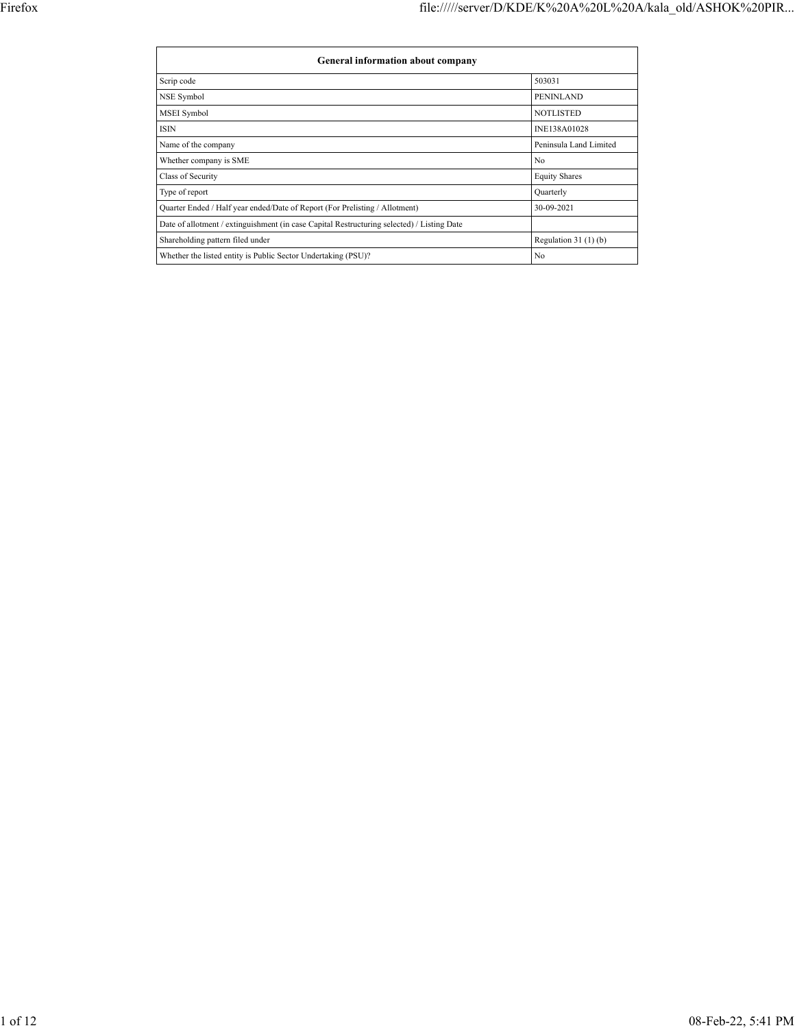| General information about company                                                          |                        |
|--------------------------------------------------------------------------------------------|------------------------|
| Scrip code                                                                                 | 503031                 |
| NSE Symbol                                                                                 | PENINLAND              |
| MSEI Symbol                                                                                | <b>NOTLISTED</b>       |
| <b>ISIN</b>                                                                                | INE138A01028           |
| Name of the company                                                                        | Peninsula Land Limited |
| Whether company is SME                                                                     | No                     |
| Class of Security                                                                          | <b>Equity Shares</b>   |
| Type of report                                                                             | Quarterly              |
| Quarter Ended / Half year ended/Date of Report (For Prelisting / Allotment)                | 30-09-2021             |
| Date of allotment / extinguishment (in case Capital Restructuring selected) / Listing Date |                        |
| Shareholding pattern filed under                                                           | Regulation $31(1)(b)$  |
| Whether the listed entity is Public Sector Undertaking (PSU)?                              | No                     |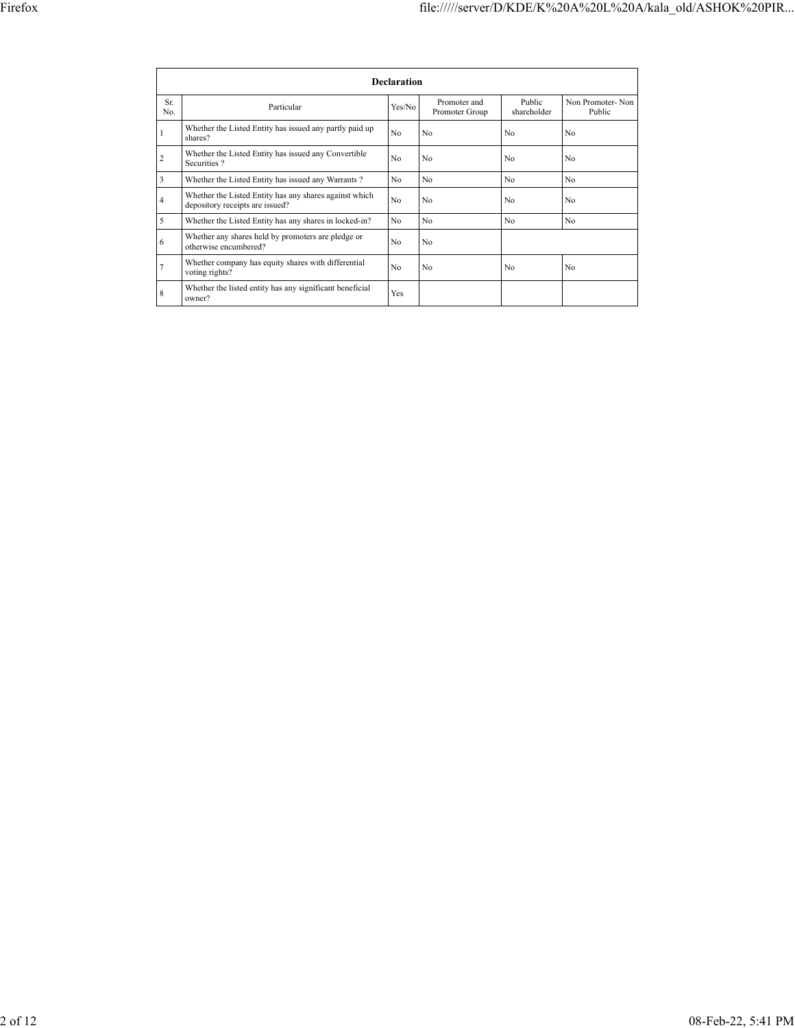|            |                                                                                           | <b>Declaration</b> |                                |                       |                            |
|------------|-------------------------------------------------------------------------------------------|--------------------|--------------------------------|-----------------------|----------------------------|
| Sr.<br>No. | Particular                                                                                | Yes/No             | Promoter and<br>Promoter Group | Public<br>shareholder | Non Promoter-Non<br>Public |
|            | Whether the Listed Entity has issued any partly paid up<br>shares?                        | N <sub>0</sub>     | No                             | No                    | No                         |
| 2          | Whether the Listed Entity has issued any Convertible<br>Securities?                       | No                 | N <sub>0</sub>                 | N <sub>0</sub>        | No                         |
| 3          | Whether the Listed Entity has issued any Warrants?                                        | No                 | No                             | N <sub>0</sub>        | N <sub>0</sub>             |
| 4          | Whether the Listed Entity has any shares against which<br>depository receipts are issued? | N <sub>0</sub>     | No                             | No                    | No                         |
| 5          | Whether the Listed Entity has any shares in locked-in?                                    | No                 | No.                            | N <sub>0</sub>        | No                         |
| 6          | Whether any shares held by promoters are pledge or<br>otherwise encumbered?               | N <sub>0</sub>     | No                             |                       |                            |
| 7          | Whether company has equity shares with differential<br>voting rights?                     | N <sub>0</sub>     | No                             | N <sub>0</sub>        | N <sub>0</sub>             |
| 8          | Whether the listed entity has any significant beneficial<br>owner?                        | <b>Yes</b>         |                                |                       |                            |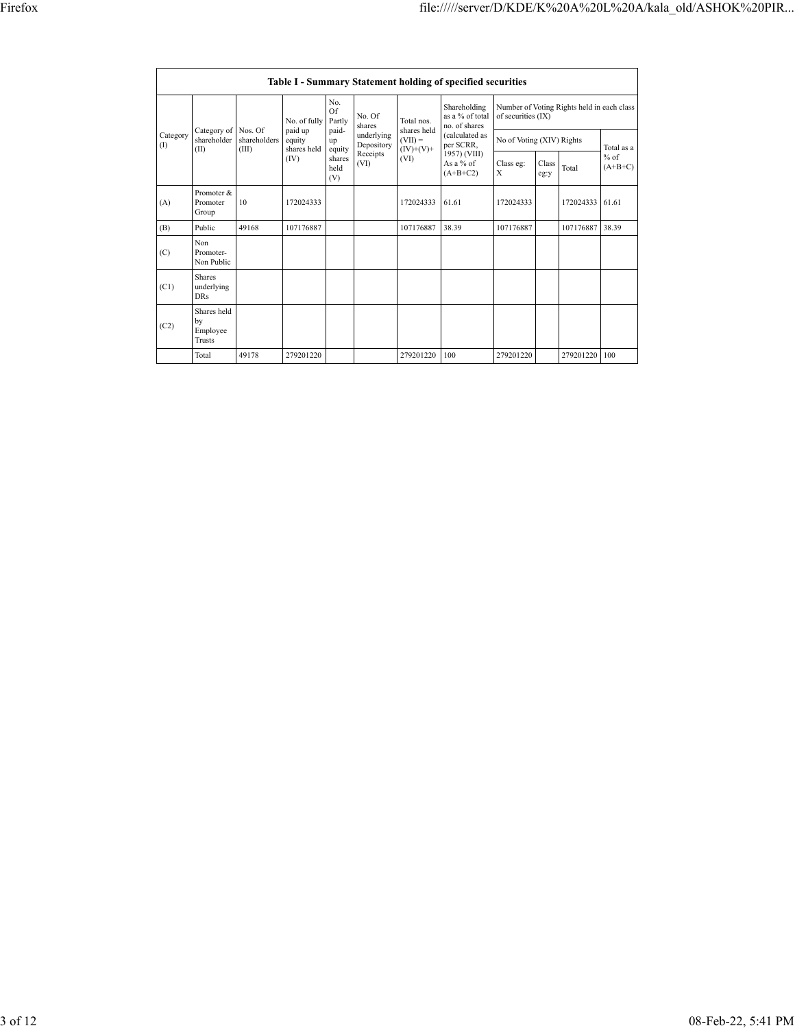|                 | <b>Table I - Summary Statement holding of specified securities</b> |                         |                     |                                 |                          |                                                         |                                                  |                                                                  |               |            |                     |  |  |  |
|-----------------|--------------------------------------------------------------------|-------------------------|---------------------|---------------------------------|--------------------------|---------------------------------------------------------|--------------------------------------------------|------------------------------------------------------------------|---------------|------------|---------------------|--|--|--|
|                 |                                                                    |                         | No. of fully        | No.<br>Of<br>Partly             | No. Of<br>shares         | Total nos.                                              | Shareholding<br>as a % of total<br>no. of shares | Number of Voting Rights held in each class<br>of securities (IX) |               |            |                     |  |  |  |
| Category<br>(I) | Category of<br>shareholder                                         | Nos. Of<br>shareholders | paid up<br>equity   | paid-<br>up                     | underlying<br>Depository | shares held<br>(calculated as<br>$(VII) =$<br>per SCRR, | No of Voting (XIV) Rights                        |                                                                  |               | Total as a |                     |  |  |  |
|                 | (II)                                                               | (III)                   | shares held<br>(IV) | equity<br>shares<br>held<br>(V) | Receipts<br>(VI)         | $(IV)+(V)+$<br>(VI)                                     | 1957) (VIII)<br>As a % of<br>$(A+B+C2)$          | Class eg:<br>X                                                   | Class<br>eg:y | Total      | $%$ of<br>$(A+B+C)$ |  |  |  |
| (A)             | Promoter &<br>Promoter<br>Group                                    | 10                      | 172024333           |                                 |                          | 172024333                                               | 61.61                                            | 172024333                                                        |               | 172024333  | 61.61               |  |  |  |
| (B)             | Public                                                             | 49168                   | 107176887           |                                 |                          | 107176887                                               | 38.39                                            | 107176887                                                        |               | 107176887  | 38.39               |  |  |  |
| (C)             | Non<br>Promoter-<br>Non Public                                     |                         |                     |                                 |                          |                                                         |                                                  |                                                                  |               |            |                     |  |  |  |
| (C1)            | <b>Shares</b><br>underlying<br><b>DRs</b>                          |                         |                     |                                 |                          |                                                         |                                                  |                                                                  |               |            |                     |  |  |  |
| (C2)            | Shares held<br>by<br>Employee<br>Trusts                            |                         |                     |                                 |                          |                                                         |                                                  |                                                                  |               |            |                     |  |  |  |
|                 | Total                                                              | 49178                   | 279201220           |                                 |                          | 279201220                                               | 100                                              | 279201220                                                        |               | 279201220  | 100                 |  |  |  |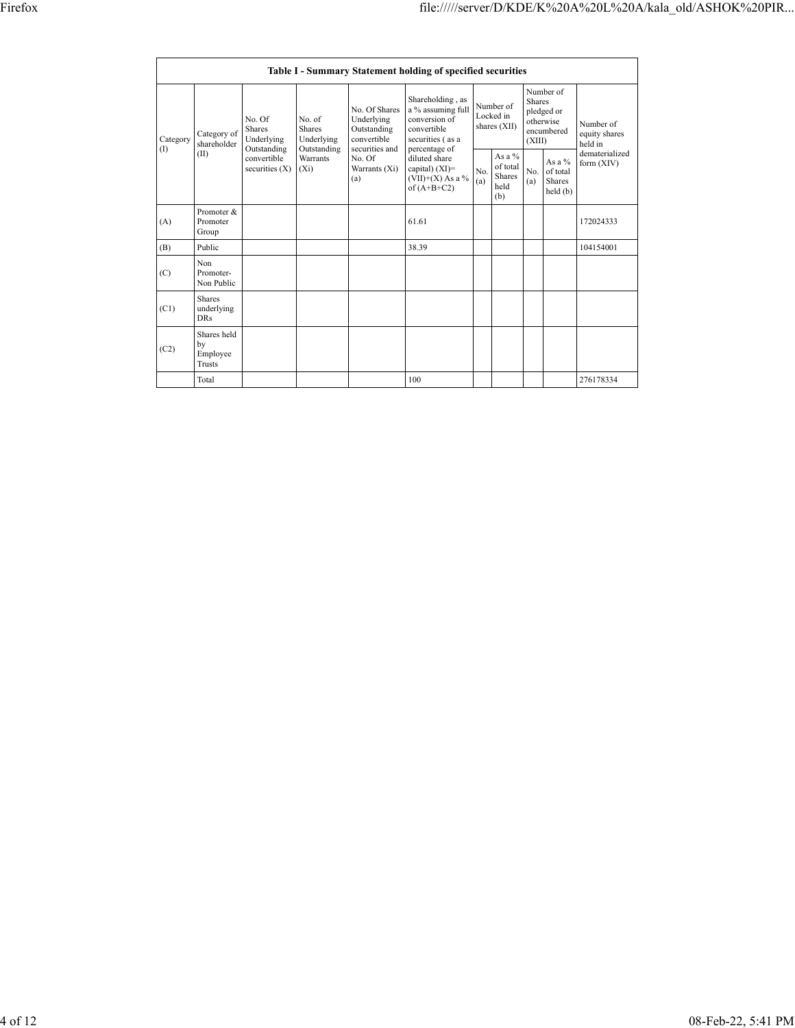|                 |                                           |                                               |                                               |                                                                             | Table I - Summary Statement holding of specified securities                                |  |                                                       |                         |                                                    |                                       |
|-----------------|-------------------------------------------|-----------------------------------------------|-----------------------------------------------|-----------------------------------------------------------------------------|--------------------------------------------------------------------------------------------|--|-------------------------------------------------------|-------------------------|----------------------------------------------------|---------------------------------------|
| Category<br>(I) | Category of<br>shareholder                | No. Of<br>Shares<br>Underlying<br>Outstanding | No. of<br>Shares<br>Underlying<br>Outstanding | No. Of Shares<br>Underlying<br>Outstanding<br>convertible<br>securities and | Shareholding, as<br>a % assuming full<br>conversion of<br>convertible<br>securities (as a  |  | Number of<br>Locked in<br>shares $(XII)$              | <b>Shares</b><br>(XIII) | Number of<br>pledged or<br>otherwise<br>encumbered | Number of<br>equity shares<br>held in |
|                 | (II)                                      | convertible<br>securities $(X)$               | Warrants<br>$(X_i)$                           | No. Of<br>Warrants $(X_i)$<br>(a)                                           | percentage of<br>diluted share<br>capital) $(XI)$ =<br>$(VII)+(X)$ As a %<br>of $(A+B+C2)$ |  | As a $\%$<br>of total<br><b>Shares</b><br>held<br>(b) | No.<br>(a)              | As a %<br>of total<br><b>Shares</b><br>held(b)     | dematerialized<br>form (XIV)          |
| (A)             | Promoter &<br>Promoter<br>Group           |                                               |                                               |                                                                             | 61.61                                                                                      |  |                                                       |                         |                                                    | 172024333                             |
| (B)             | Public                                    |                                               |                                               |                                                                             | 38.39                                                                                      |  |                                                       |                         |                                                    | 104154001                             |
| (C)             | Non<br>Promoter-<br>Non Public            |                                               |                                               |                                                                             |                                                                                            |  |                                                       |                         |                                                    |                                       |
| (C1)            | <b>Shares</b><br>underlying<br><b>DRs</b> |                                               |                                               |                                                                             |                                                                                            |  |                                                       |                         |                                                    |                                       |
| (C2)            | Shares held<br>by<br>Employee<br>Trusts   |                                               |                                               |                                                                             |                                                                                            |  |                                                       |                         |                                                    |                                       |
|                 | Total                                     |                                               |                                               |                                                                             | 100                                                                                        |  |                                                       |                         |                                                    | 276178334                             |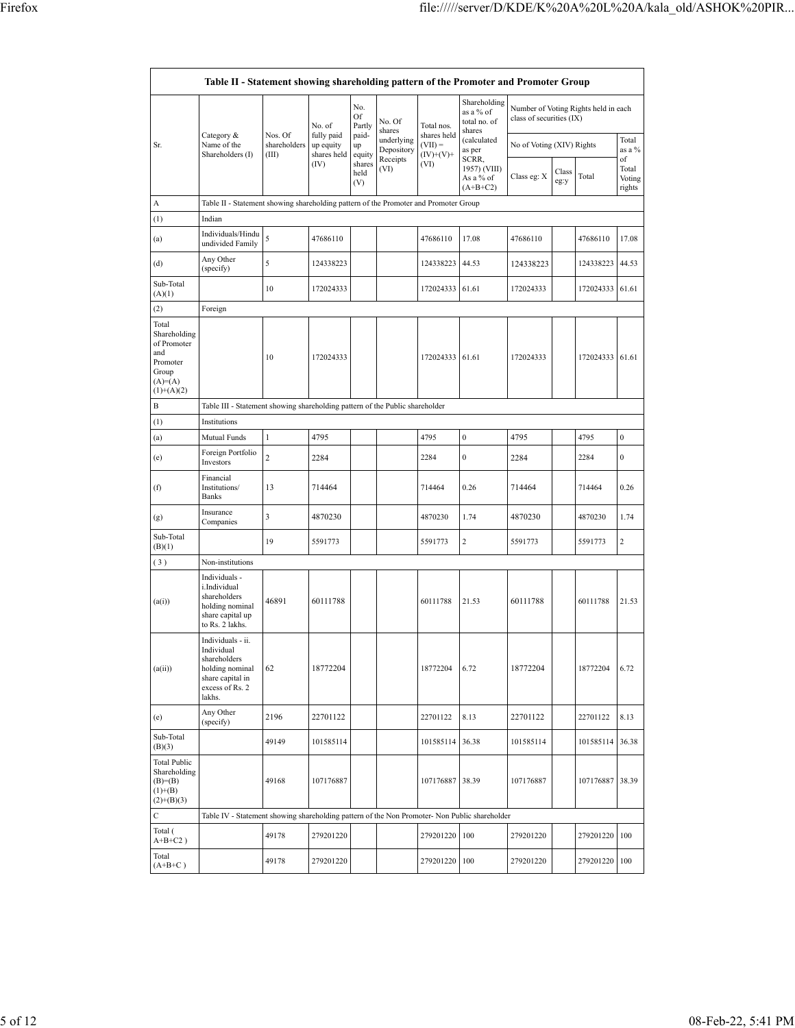| Table II - Statement showing shareholding pattern of the Promoter and Promoter Group          |                                                                                                                     |                       |                                                      |                       |                          |                           |                                                     |                                                                  |               |           |                                 |  |  |
|-----------------------------------------------------------------------------------------------|---------------------------------------------------------------------------------------------------------------------|-----------------------|------------------------------------------------------|-----------------------|--------------------------|---------------------------|-----------------------------------------------------|------------------------------------------------------------------|---------------|-----------|---------------------------------|--|--|
|                                                                                               | Category &                                                                                                          | Nos. Of               | No.<br>Of<br>Partly<br>No. of<br>fully paid<br>paid- |                       | No. Of<br>shares         | Total nos.<br>shares held | Shareholding<br>as a % of<br>total no. of<br>shares | Number of Voting Rights held in each<br>class of securities (IX) |               |           |                                 |  |  |
| Sr.                                                                                           | Name of the<br>Shareholders (I)                                                                                     | shareholders<br>(III) | up equity<br>shares held                             | up<br>equity          | underlying<br>Depository | $(VII) =$<br>$(IV)+(V)+$  | (calculated<br>as per                               | No of Voting (XIV) Rights                                        |               |           | Total<br>as a %                 |  |  |
|                                                                                               |                                                                                                                     |                       | (IV)                                                 | shares<br>held<br>(V) | Receipts<br>(VI)         | (VI)                      | SCRR,<br>1957) (VIII)<br>As a % of<br>$(A+B+C2)$    | Class eg: X                                                      | Class<br>eg:y | Total     | of<br>Total<br>Voting<br>rights |  |  |
| А                                                                                             | Table II - Statement showing shareholding pattern of the Promoter and Promoter Group                                |                       |                                                      |                       |                          |                           |                                                     |                                                                  |               |           |                                 |  |  |
| (1)                                                                                           | Indian                                                                                                              |                       |                                                      |                       |                          |                           |                                                     |                                                                  |               |           |                                 |  |  |
| (a)                                                                                           | Individuals/Hindu<br>undivided Family                                                                               | 5                     | 47686110                                             |                       |                          | 47686110                  | 17.08                                               | 47686110                                                         |               | 47686110  | 17.08                           |  |  |
| (d)                                                                                           | Any Other<br>(specify)                                                                                              | 5                     | 124338223                                            |                       |                          | 124338223                 | 44.53                                               | 124338223                                                        |               | 124338223 | 44.53                           |  |  |
| Sub-Total<br>(A)(1)                                                                           |                                                                                                                     | 10                    | 172024333                                            |                       |                          | 172024333                 | 61.61                                               | 172024333                                                        |               | 172024333 | 61.61                           |  |  |
| (2)                                                                                           | Foreign                                                                                                             |                       |                                                      |                       |                          |                           |                                                     |                                                                  |               |           |                                 |  |  |
| Total<br>Shareholding<br>of Promoter<br>and<br>Promoter<br>Group<br>$(A)=(A)$<br>$(1)+(A)(2)$ |                                                                                                                     | 10                    | 172024333                                            |                       |                          | 172024333                 | 61.61                                               | 172024333                                                        |               | 172024333 | 61.61                           |  |  |
| В                                                                                             | Table III - Statement showing shareholding pattern of the Public shareholder                                        |                       |                                                      |                       |                          |                           |                                                     |                                                                  |               |           |                                 |  |  |
| (1)                                                                                           | Institutions                                                                                                        |                       |                                                      |                       |                          |                           |                                                     |                                                                  |               |           |                                 |  |  |
| (a)                                                                                           | <b>Mutual Funds</b>                                                                                                 | 1                     | 4795                                                 |                       |                          | 4795                      | $\boldsymbol{0}$                                    | 4795                                                             |               | 4795      | $\boldsymbol{0}$                |  |  |
| (e)                                                                                           | Foreign Portfolio<br>Investors                                                                                      | $\overline{c}$        | 2284                                                 |                       |                          | 2284                      | $\boldsymbol{0}$                                    | 2284                                                             |               | 2284      | $\boldsymbol{0}$                |  |  |
| (f)                                                                                           | Financial<br>Institutions/<br>Banks                                                                                 | 13                    | 714464                                               |                       |                          | 714464                    | 0.26                                                | 714464                                                           |               | 714464    | 0.26                            |  |  |
| (g)                                                                                           | Insurance<br>Companies                                                                                              | 3                     | 4870230                                              |                       |                          | 4870230                   | 1.74                                                | 4870230                                                          |               | 4870230   | 1.74                            |  |  |
| Sub-Total<br>(B)(1)                                                                           |                                                                                                                     | 19                    | 5591773                                              |                       |                          | 5591773                   | $\overline{c}$                                      | 5591773                                                          |               | 5591773   | $\overline{2}$                  |  |  |
| (3)                                                                                           | Non-institutions                                                                                                    |                       |                                                      |                       |                          |                           |                                                     |                                                                  |               |           |                                 |  |  |
| (a(i))                                                                                        | Individuals -<br>i.Individual<br>shareholders<br>holding nominal<br>share capital up<br>to Rs. 2 lakhs.             | 46891                 | 60111788                                             |                       |                          | 60111788                  | 21.53                                               | 60111788                                                         |               | 60111788  | 21.53                           |  |  |
| (a(ii))                                                                                       | Individuals - ii.<br>Individual<br>shareholders<br>holding nominal<br>share capital in<br>excess of Rs. 2<br>lakhs. | 62                    | 18772204                                             |                       |                          | 18772204                  | 6.72                                                | 18772204                                                         |               | 18772204  | 6.72                            |  |  |
| (e)                                                                                           | Any Other<br>(specify)                                                                                              | 2196                  | 22701122                                             |                       |                          | 22701122                  | 8.13                                                | 22701122                                                         |               | 22701122  | 8.13                            |  |  |
| Sub-Total<br>(B)(3)                                                                           |                                                                                                                     | 49149                 | 101585114                                            |                       |                          | 101585114                 | 36.38                                               | 101585114                                                        |               | 101585114 | 36.38                           |  |  |
| Total Public<br>Shareholding<br>$(B)= (B)$<br>$(1)+(B)$<br>$(2)+(B)(3)$                       |                                                                                                                     | 49168                 | 107176887                                            |                       |                          | 107176887                 | 38.39                                               | 107176887                                                        |               | 107176887 | 38.39                           |  |  |
| С                                                                                             | Table IV - Statement showing shareholding pattern of the Non Promoter- Non Public shareholder                       |                       |                                                      |                       |                          |                           |                                                     |                                                                  |               |           |                                 |  |  |
| Total (<br>$\mathrm{A} \text{+} \mathrm{B} \text{+} \mathrm{C2}$ )                            |                                                                                                                     | 49178                 | 279201220                                            |                       |                          | 279201220                 | 100                                                 | 279201220                                                        |               | 279201220 | 100                             |  |  |
| Total<br>$(A+B+C)$                                                                            |                                                                                                                     | 49178                 | 279201220                                            |                       |                          | 279201220                 | 100                                                 | 279201220                                                        |               | 279201220 | 100                             |  |  |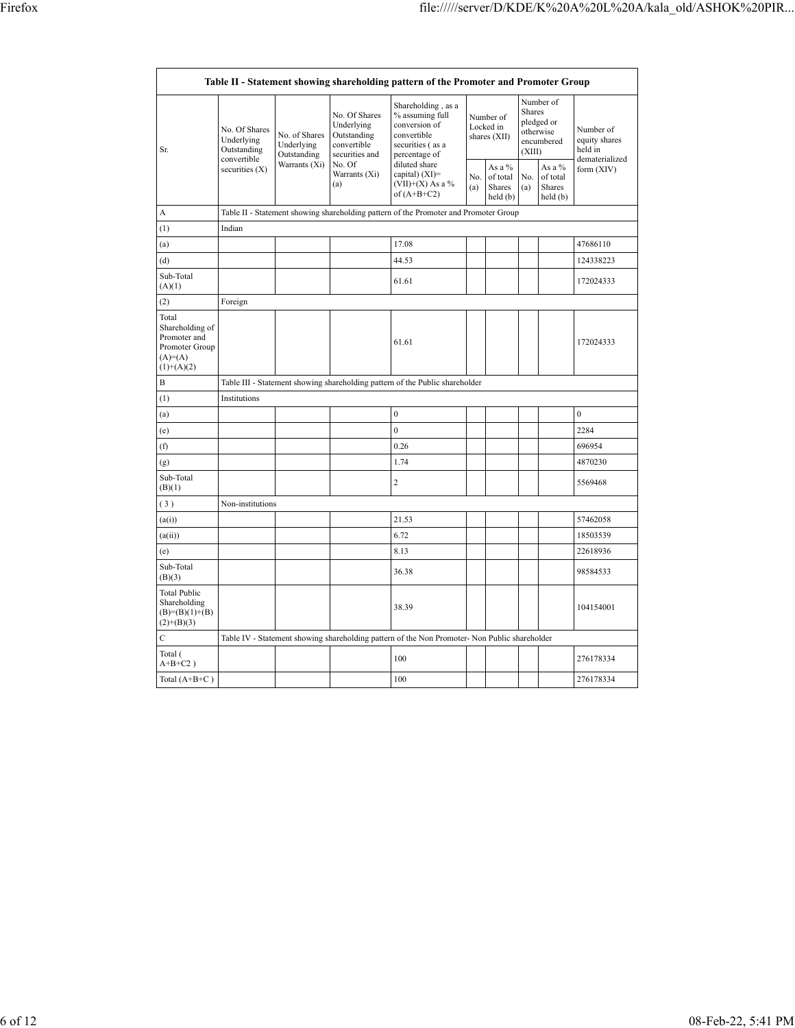$\Gamma$ 

 $\overline{\phantom{a}}$ 

|                                                                                         |                                                           |                                            |                                                                             | Table II - Statement showing shareholding pattern of the Promoter and Promoter Group                       |            |                                          |                  |                                                    |                                                         |
|-----------------------------------------------------------------------------------------|-----------------------------------------------------------|--------------------------------------------|-----------------------------------------------------------------------------|------------------------------------------------------------------------------------------------------------|------------|------------------------------------------|------------------|----------------------------------------------------|---------------------------------------------------------|
| Sr.                                                                                     | No. Of Shares<br>Underlying<br>Outstanding<br>convertible | No. of Shares<br>Underlying<br>Outstanding | No. Of Shares<br>Underlying<br>Outstanding<br>convertible<br>securities and | Shareholding, as a<br>% assuming full<br>conversion of<br>convertible<br>securities (as a<br>percentage of |            | Number of<br>Locked in<br>shares (XII)   | Shares<br>(XIII) | Number of<br>pledged or<br>otherwise<br>encumbered | Number of<br>equity shares<br>held in<br>dematerialized |
|                                                                                         | securities $(X)$                                          | Warrants (Xi)                              | No. Of<br>Warrants (Xi)<br>(a)                                              | diluted share<br>capital) (XI)=<br>$(VII)+(X)$ As a %<br>of $(A+B+C2)$                                     | No.<br>(a) | As a %<br>of total<br>Shares<br>held (b) | No.<br>(a)       | As a %<br>of total<br>Shares<br>held(b)            | form $(XIV)$                                            |
| A                                                                                       |                                                           |                                            |                                                                             | Table II - Statement showing shareholding pattern of the Promoter and Promoter Group                       |            |                                          |                  |                                                    |                                                         |
| (1)                                                                                     | Indian                                                    |                                            |                                                                             |                                                                                                            |            |                                          |                  |                                                    |                                                         |
| (a)                                                                                     |                                                           |                                            |                                                                             | 17.08                                                                                                      |            |                                          |                  |                                                    | 47686110                                                |
| (d)                                                                                     |                                                           |                                            |                                                                             | 44.53                                                                                                      |            |                                          |                  |                                                    | 124338223                                               |
| Sub-Total<br>(A)(1)                                                                     |                                                           |                                            |                                                                             | 61.61                                                                                                      |            |                                          |                  |                                                    | 172024333                                               |
| (2)                                                                                     | Foreign                                                   |                                            |                                                                             |                                                                                                            |            |                                          |                  |                                                    |                                                         |
| Total<br>Shareholding of<br>Promoter and<br>Promoter Group<br>$(A)=(A)$<br>$(1)+(A)(2)$ |                                                           |                                            |                                                                             | 61.61                                                                                                      |            |                                          |                  |                                                    | 172024333                                               |
| B                                                                                       |                                                           |                                            |                                                                             | Table III - Statement showing shareholding pattern of the Public shareholder                               |            |                                          |                  |                                                    |                                                         |
| (1)                                                                                     | Institutions                                              |                                            |                                                                             |                                                                                                            |            |                                          |                  |                                                    |                                                         |
| (a)                                                                                     |                                                           |                                            |                                                                             | $\mathbf{0}$                                                                                               |            |                                          |                  |                                                    | $\mathbf{0}$                                            |
| (e)                                                                                     |                                                           |                                            |                                                                             | $\mathbf{0}$                                                                                               |            |                                          |                  |                                                    | 2284                                                    |
| (f)                                                                                     |                                                           |                                            |                                                                             | 0.26                                                                                                       |            |                                          |                  |                                                    | 696954                                                  |
| (g)                                                                                     |                                                           |                                            |                                                                             | 1.74                                                                                                       |            |                                          |                  |                                                    | 4870230                                                 |
| Sub-Total<br>(B)(1)                                                                     |                                                           |                                            |                                                                             | $\overline{2}$                                                                                             |            |                                          |                  |                                                    | 5569468                                                 |
| (3)                                                                                     | Non-institutions                                          |                                            |                                                                             |                                                                                                            |            |                                          |                  |                                                    |                                                         |
| (a(i))                                                                                  |                                                           |                                            |                                                                             | 21.53                                                                                                      |            |                                          |                  |                                                    | 57462058                                                |
| (a(ii))                                                                                 |                                                           |                                            |                                                                             | 6.72                                                                                                       |            |                                          |                  |                                                    | 18503539                                                |
| (e)                                                                                     |                                                           |                                            |                                                                             | 8.13                                                                                                       |            |                                          |                  |                                                    | 22618936                                                |
| Sub-Total<br>(B)(3)                                                                     |                                                           |                                            |                                                                             | 36.38                                                                                                      |            |                                          |                  |                                                    | 98584533                                                |
| <b>Total Public</b><br>Shareholding<br>$(B)=(B)(1)+(B)$<br>$(2)+(B)(3)$                 |                                                           |                                            |                                                                             | 38.39                                                                                                      |            |                                          |                  |                                                    | 104154001                                               |
| $\overline{C}$                                                                          |                                                           |                                            |                                                                             | Table IV - Statement showing shareholding pattern of the Non Promoter- Non Public shareholder              |            |                                          |                  |                                                    |                                                         |
| Total (<br>$A+B+C2$ )                                                                   |                                                           |                                            |                                                                             | 100                                                                                                        |            |                                          |                  |                                                    | 276178334                                               |
| Total $(A+B+C)$                                                                         |                                                           |                                            |                                                                             | 100                                                                                                        |            |                                          |                  |                                                    | 276178334                                               |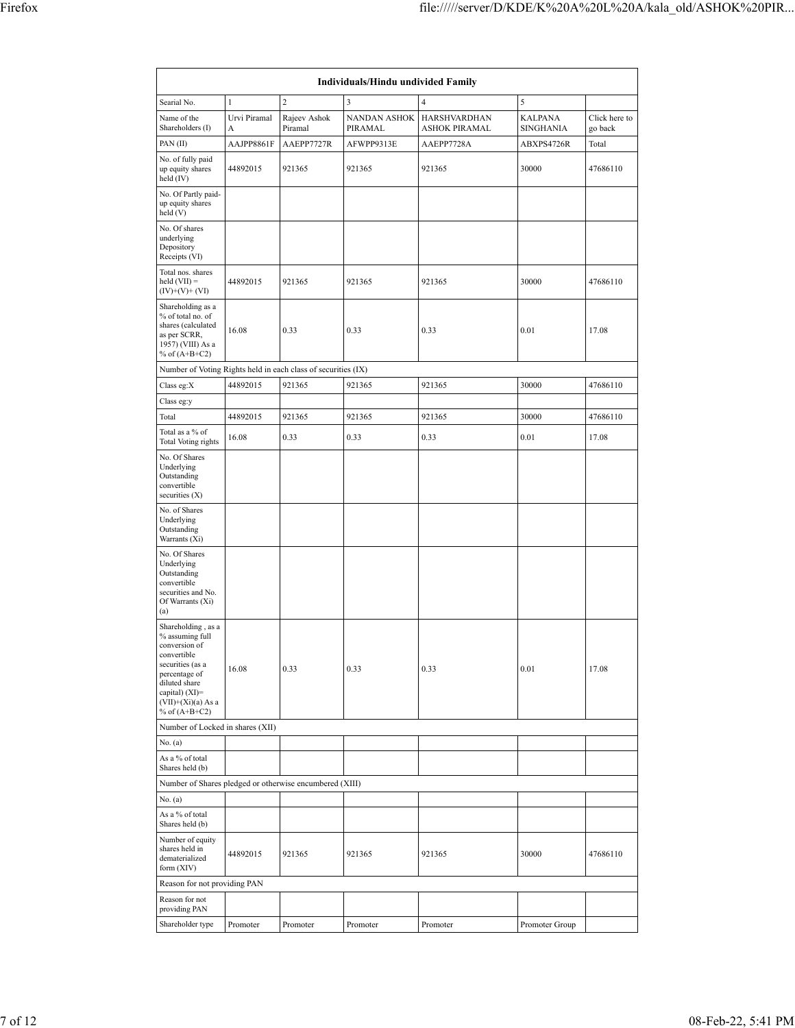| Individuals/Hindu undivided Family                                                                                                                                                         |                   |                         |                                |                                      |                                    |                          |  |  |  |  |  |  |
|--------------------------------------------------------------------------------------------------------------------------------------------------------------------------------------------|-------------------|-------------------------|--------------------------------|--------------------------------------|------------------------------------|--------------------------|--|--|--|--|--|--|
| Searial No.                                                                                                                                                                                | $\mathbf{1}$      | $\overline{2}$          | 3                              | $\overline{4}$                       | 5                                  |                          |  |  |  |  |  |  |
| Name of the<br>Shareholders (I)                                                                                                                                                            | Urvi Piramal<br>А | Rajeev Ashok<br>Piramal | <b>NANDAN ASHOK</b><br>PIRAMAL | HARSHVARDHAN<br><b>ASHOK PIRAMAL</b> | <b>KALPANA</b><br><b>SINGHANIA</b> | Click here to<br>go back |  |  |  |  |  |  |
| PAN(II)                                                                                                                                                                                    | AAJPP8861F        | AAEPP7727R              | AFWPP9313E                     | AAEPP7728A                           | ABXPS4726R                         | Total                    |  |  |  |  |  |  |
| No. of fully paid<br>up equity shares<br>held $(IV)$                                                                                                                                       | 44892015          | 921365                  | 921365                         | 921365                               | 30000                              | 47686110                 |  |  |  |  |  |  |
| No. Of Partly paid-<br>up equity shares<br>held(V)                                                                                                                                         |                   |                         |                                |                                      |                                    |                          |  |  |  |  |  |  |
| No. Of shares<br>underlying<br>Depository<br>Receipts (VI)                                                                                                                                 |                   |                         |                                |                                      |                                    |                          |  |  |  |  |  |  |
| Total nos. shares<br>held $(VII) =$<br>$(IV)+(V)+(VI)$                                                                                                                                     | 44892015          | 921365                  | 921365                         | 921365                               | 30000                              | 47686110                 |  |  |  |  |  |  |
| Shareholding as a<br>% of total no. of<br>shares (calculated<br>as per SCRR,<br>1957) (VIII) As a<br>% of $(A+B+C2)$                                                                       | 16.08             | 0.33                    | 0.33                           | 0.33                                 | 0.01                               | 17.08                    |  |  |  |  |  |  |
| Number of Voting Rights held in each class of securities (IX)                                                                                                                              |                   |                         |                                |                                      |                                    |                          |  |  |  |  |  |  |
| Class eg: $X$                                                                                                                                                                              | 44892015          | 921365                  | 921365                         | 921365                               | 30000                              | 47686110                 |  |  |  |  |  |  |
| Class eg:y                                                                                                                                                                                 |                   |                         |                                |                                      |                                    |                          |  |  |  |  |  |  |
| Total                                                                                                                                                                                      | 44892015          | 921365                  | 921365                         | 921365                               | 30000                              | 47686110                 |  |  |  |  |  |  |
| Total as a % of<br>Total Voting rights                                                                                                                                                     | 16.08             | 0.33                    | 0.33                           | 0.33                                 | 0.01                               | 17.08                    |  |  |  |  |  |  |
| No. Of Shares<br>Underlying<br>Outstanding<br>convertible<br>securities $(X)$                                                                                                              |                   |                         |                                |                                      |                                    |                          |  |  |  |  |  |  |
| No. of Shares<br>Underlying<br>Outstanding<br>Warrants (Xi)                                                                                                                                |                   |                         |                                |                                      |                                    |                          |  |  |  |  |  |  |
| No. Of Shares<br>Underlying<br>Outstanding<br>convertible<br>securities and No.<br>Of Warrants (Xi)<br>(a)                                                                                 |                   |                         |                                |                                      |                                    |                          |  |  |  |  |  |  |
| Shareholding, as a<br>% assuming full<br>conversion of<br>convertible<br>securities (as a<br>percentage of<br>diluted share<br>capital) $(XI)=$<br>$(VII)+(Xi)(a)$ As a<br>% of $(A+B+C2)$ | 16.08             | 0.33                    | 0.33                           | 0.33                                 | 0.01                               | 17.08                    |  |  |  |  |  |  |
| Number of Locked in shares (XII)                                                                                                                                                           |                   |                         |                                |                                      |                                    |                          |  |  |  |  |  |  |
| No. (a)                                                                                                                                                                                    |                   |                         |                                |                                      |                                    |                          |  |  |  |  |  |  |
| As a % of total<br>Shares held (b)                                                                                                                                                         |                   |                         |                                |                                      |                                    |                          |  |  |  |  |  |  |
| Number of Shares pledged or otherwise encumbered (XIII)                                                                                                                                    |                   |                         |                                |                                      |                                    |                          |  |  |  |  |  |  |
| No. (a)                                                                                                                                                                                    |                   |                         |                                |                                      |                                    |                          |  |  |  |  |  |  |
| As a % of total<br>Shares held (b)                                                                                                                                                         |                   |                         |                                |                                      |                                    |                          |  |  |  |  |  |  |
| Number of equity<br>shares held in<br>dematerialized<br>form $(XIV)$                                                                                                                       | 44892015          | 921365                  | 921365                         | 921365                               | 30000                              | 47686110                 |  |  |  |  |  |  |
| Reason for not providing PAN                                                                                                                                                               |                   |                         |                                |                                      |                                    |                          |  |  |  |  |  |  |
| Reason for not<br>providing PAN                                                                                                                                                            |                   |                         |                                |                                      |                                    |                          |  |  |  |  |  |  |
| Shareholder type                                                                                                                                                                           | Promoter          | Promoter                | Promoter                       | Promoter                             | Promoter Group                     |                          |  |  |  |  |  |  |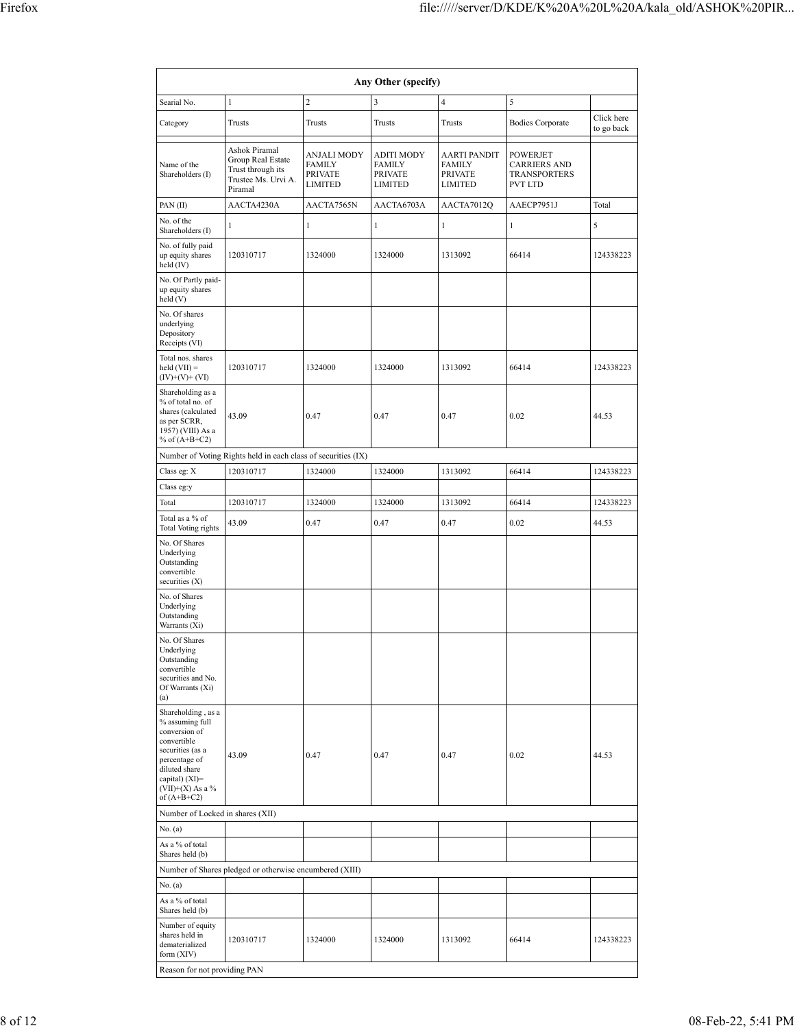| Any Other (specify)                                                                                                                                                                  |                                                                                           |                                                                         |                                                                        |                                                                   |                                                     |                          |  |  |  |  |  |  |
|--------------------------------------------------------------------------------------------------------------------------------------------------------------------------------------|-------------------------------------------------------------------------------------------|-------------------------------------------------------------------------|------------------------------------------------------------------------|-------------------------------------------------------------------|-----------------------------------------------------|--------------------------|--|--|--|--|--|--|
| Searial No.                                                                                                                                                                          | $\overline{c}$<br>$\overline{\mathbf{4}}$<br>$\mathbf{1}$<br>3<br>5                       |                                                                         |                                                                        |                                                                   |                                                     |                          |  |  |  |  |  |  |
| Category                                                                                                                                                                             | Trusts                                                                                    | Trusts                                                                  | Trusts                                                                 | Trusts                                                            | <b>Bodies Corporate</b>                             | Click here<br>to go back |  |  |  |  |  |  |
| Name of the<br>Shareholders (I)                                                                                                                                                      | Ashok Piramal<br>Group Real Estate<br>Trust through its<br>Trustee Ms. Urvi A.<br>Piramal | <b>ANJALI MODY</b><br><b>FAMILY</b><br><b>PRIVATE</b><br><b>LIMITED</b> | <b>ADITI MODY</b><br><b>FAMILY</b><br><b>PRIVATE</b><br><b>LIMITED</b> | AARTI PANDIT<br><b>FAMILY</b><br><b>PRIVATE</b><br><b>LIMITED</b> | POWERJET<br>CARRIERS AND<br>TRANSPORTERS<br>PVT LTD |                          |  |  |  |  |  |  |
| PAN(II)                                                                                                                                                                              | AACTA4230A                                                                                | AACTA7565N                                                              | AACTA6703A                                                             | AACTA7012Q                                                        | AAECP7951J                                          | Total                    |  |  |  |  |  |  |
| No. of the<br>Shareholders (I)                                                                                                                                                       | $\mathbf{1}$                                                                              | $\mathbf{1}$                                                            | $\mathbf{1}$                                                           | $\mathbf{1}$                                                      | $\mathbf{1}$                                        | 5                        |  |  |  |  |  |  |
| No. of fully paid<br>up equity shares<br>held $(IV)$                                                                                                                                 | 120310717                                                                                 | 1324000                                                                 | 1324000                                                                | 1313092                                                           | 66414                                               | 124338223                |  |  |  |  |  |  |
| No. Of Partly paid-<br>up equity shares<br>held (V)                                                                                                                                  |                                                                                           |                                                                         |                                                                        |                                                                   |                                                     |                          |  |  |  |  |  |  |
| No. Of shares<br>underlying<br>Depository<br>Receipts (VI)                                                                                                                           |                                                                                           |                                                                         |                                                                        |                                                                   |                                                     |                          |  |  |  |  |  |  |
| Total nos. shares<br>held $(VII) =$<br>$(IV)+(V)+(VI)$                                                                                                                               | 120310717                                                                                 | 1324000                                                                 | 1324000                                                                | 1313092                                                           | 66414                                               | 124338223                |  |  |  |  |  |  |
| Shareholding as a<br>% of total no. of<br>shares (calculated<br>as per SCRR,<br>1957) (VIII) As a<br>% of $(A+B+C2)$                                                                 | 43.09                                                                                     | 0.47                                                                    | 0.47                                                                   | 0.47                                                              | 0.02                                                | 44.53                    |  |  |  |  |  |  |
|                                                                                                                                                                                      | Number of Voting Rights held in each class of securities (IX)                             |                                                                         |                                                                        |                                                                   |                                                     |                          |  |  |  |  |  |  |
| Class eg: X<br>Class eg:y                                                                                                                                                            | 120310717                                                                                 | 1324000                                                                 | 1324000                                                                | 1313092                                                           | 66414                                               | 124338223                |  |  |  |  |  |  |
| Total                                                                                                                                                                                | 120310717                                                                                 | 1324000                                                                 | 1324000                                                                | 1313092                                                           | 66414                                               | 124338223                |  |  |  |  |  |  |
| Total as a % of<br>Total Voting rights<br>No. Of Shares<br>Underlying<br>Outstanding                                                                                                 | 43.09                                                                                     | 0.47                                                                    | 0.47                                                                   | 0.47                                                              | 0.02                                                | 44.53                    |  |  |  |  |  |  |
| convertible<br>securities $(X)$<br>No. of Shares<br>Underlying<br>Outstanding<br>Warrants (Xi)                                                                                       |                                                                                           |                                                                         |                                                                        |                                                                   |                                                     |                          |  |  |  |  |  |  |
| No. Of Shares<br>Underlying<br>Outstanding<br>convertible<br>securities and No.<br>Of Warrants (Xi)<br>(a)                                                                           |                                                                                           |                                                                         |                                                                        |                                                                   |                                                     |                          |  |  |  |  |  |  |
| Shareholding, as a<br>% assuming full<br>conversion of<br>convertible<br>securities (as a<br>percentage of<br>diluted share<br>capital) (XI)=<br>$(VII)+(X)$ As a %<br>of $(A+B+C2)$ | 43.09                                                                                     | 0.47                                                                    | 0.47                                                                   | 0.47                                                              | 0.02                                                | 44.53                    |  |  |  |  |  |  |
| Number of Locked in shares (XII)                                                                                                                                                     |                                                                                           |                                                                         |                                                                        |                                                                   |                                                     |                          |  |  |  |  |  |  |
| No. (a)<br>As a % of total                                                                                                                                                           |                                                                                           |                                                                         |                                                                        |                                                                   |                                                     |                          |  |  |  |  |  |  |
| Shares held (b)                                                                                                                                                                      | Number of Shares pledged or otherwise encumbered (XIII)                                   |                                                                         |                                                                        |                                                                   |                                                     |                          |  |  |  |  |  |  |
| No. (a)                                                                                                                                                                              |                                                                                           |                                                                         |                                                                        |                                                                   |                                                     |                          |  |  |  |  |  |  |
| As a % of total<br>Shares held (b)                                                                                                                                                   |                                                                                           |                                                                         |                                                                        |                                                                   |                                                     |                          |  |  |  |  |  |  |
| Number of equity<br>shares held in<br>dematerialized<br>form (XIV)                                                                                                                   | 120310717                                                                                 | 1324000                                                                 | 1324000                                                                | 1313092                                                           | 66414                                               | 124338223                |  |  |  |  |  |  |
| Reason for not providing PAN                                                                                                                                                         |                                                                                           |                                                                         |                                                                        |                                                                   |                                                     |                          |  |  |  |  |  |  |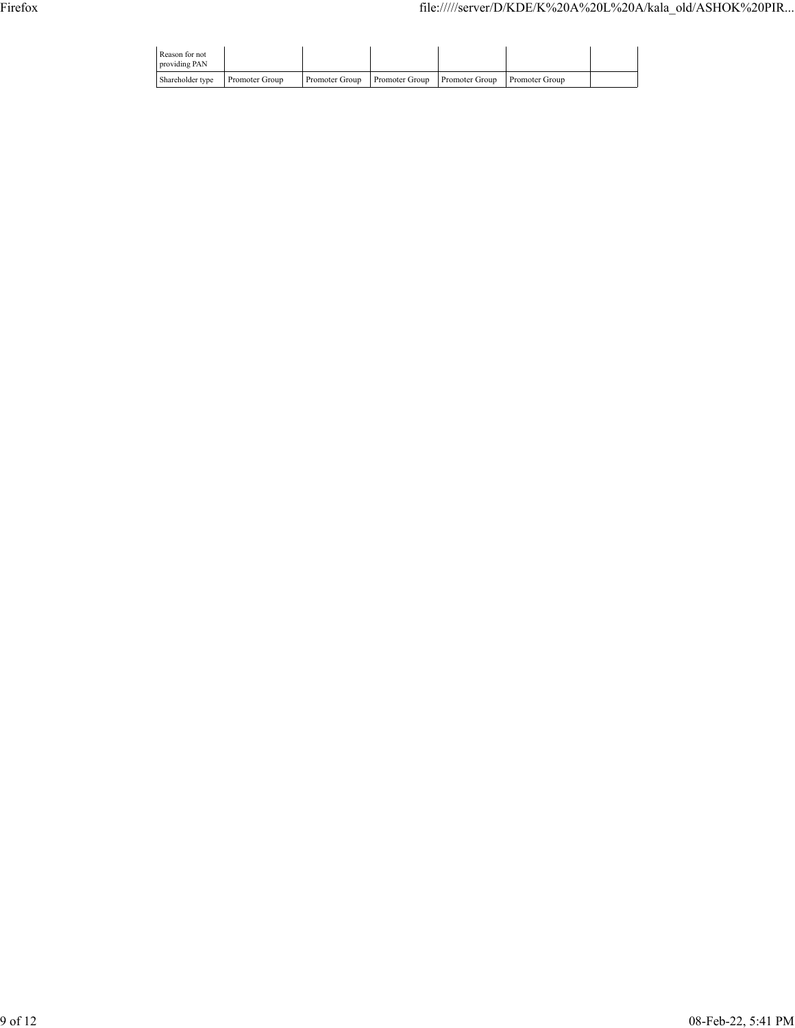| Reason for not<br>providing PAN |                |                |                                                     |  |
|---------------------------------|----------------|----------------|-----------------------------------------------------|--|
| Shareholder type                | Promoter Group | Promoter Group | <b>Promoter Group</b> Promoter Group Promoter Group |  |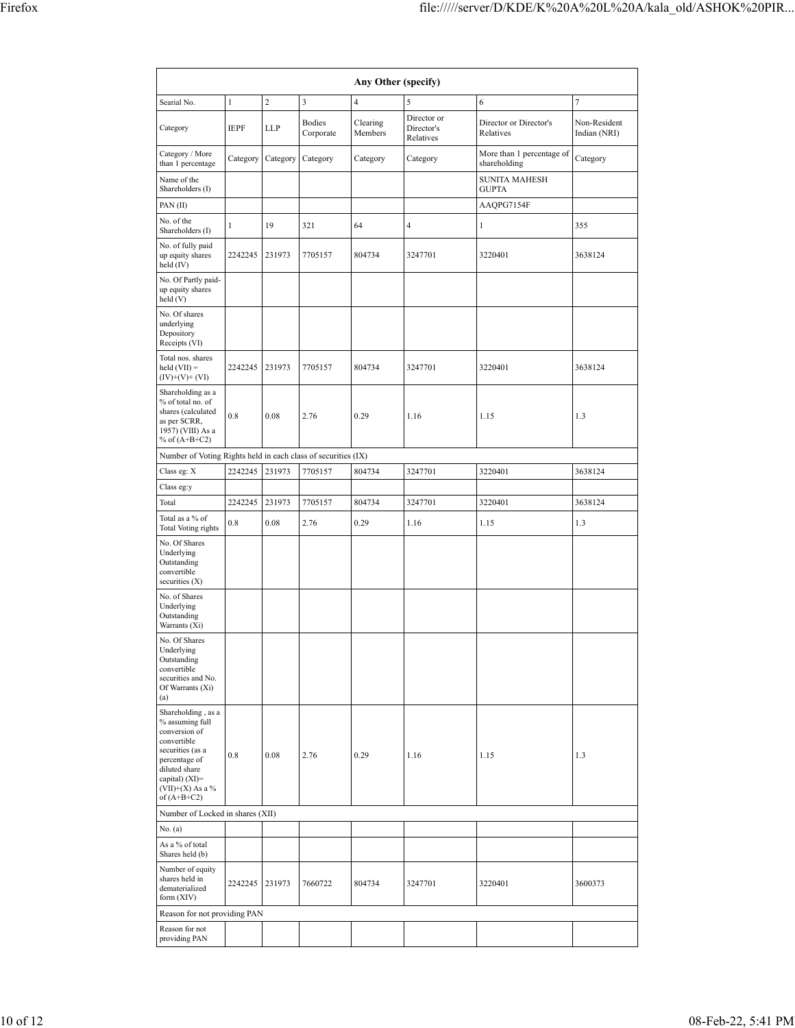| Any Other (specify)                                                                                                                                                                  |              |                |                            |                     |                                        |                                           |                              |  |  |  |  |  |
|--------------------------------------------------------------------------------------------------------------------------------------------------------------------------------------|--------------|----------------|----------------------------|---------------------|----------------------------------------|-------------------------------------------|------------------------------|--|--|--|--|--|
| Searial No.                                                                                                                                                                          | $\mathbf{1}$ | $\overline{c}$ | 3                          | $\overline{4}$      | 5                                      | 6                                         | 7                            |  |  |  |  |  |
| Category                                                                                                                                                                             | <b>IEPF</b>  | LLP            | <b>Bodies</b><br>Corporate | Clearing<br>Members | Director or<br>Director's<br>Relatives | Director or Director's<br>Relatives       | Non-Resident<br>Indian (NRI) |  |  |  |  |  |
| Category / More<br>than 1 percentage                                                                                                                                                 | Category     | Category       | Category                   | Category            | Category                               | More than 1 percentage of<br>shareholding | Category                     |  |  |  |  |  |
| Name of the<br>Shareholders (I)                                                                                                                                                      |              |                |                            |                     |                                        | <b>SUNITA MAHESH</b><br><b>GUPTA</b>      |                              |  |  |  |  |  |
| PAN(II)                                                                                                                                                                              |              |                |                            |                     |                                        | AAQPG7154F                                |                              |  |  |  |  |  |
| No. of the<br>Shareholders (I)                                                                                                                                                       | 1            | 19             | 321                        | 64                  | $\overline{4}$                         | $\mathbf{1}$                              | 355                          |  |  |  |  |  |
| No. of fully paid<br>up equity shares<br>held (IV)                                                                                                                                   | 2242245      | 231973         | 7705157                    | 804734              | 3247701                                | 3220401                                   | 3638124                      |  |  |  |  |  |
| No. Of Partly paid-<br>up equity shares<br>held (V)                                                                                                                                  |              |                |                            |                     |                                        |                                           |                              |  |  |  |  |  |
| No. Of shares<br>underlying<br>Depository<br>Receipts (VI)                                                                                                                           |              |                |                            |                     |                                        |                                           |                              |  |  |  |  |  |
| Total nos. shares<br>held $(VII) =$<br>$(IV)+(V)+(VI)$                                                                                                                               | 2242245      | 231973         | 7705157                    | 804734              | 3247701                                | 3220401                                   | 3638124                      |  |  |  |  |  |
| Shareholding as a<br>% of total no. of<br>shares (calculated<br>as per SCRR,<br>1957) (VIII) As a<br>% of $(A+B+C2)$                                                                 | 0.8          | 0.08           | 2.76                       | 0.29                | 1.16                                   | 1.15                                      | 1.3                          |  |  |  |  |  |
| Number of Voting Rights held in each class of securities (IX)                                                                                                                        |              |                |                            |                     |                                        |                                           |                              |  |  |  |  |  |
| Class eg: X                                                                                                                                                                          | 2242245      | 231973         | 7705157                    | 804734              | 3247701                                | 3220401                                   | 3638124                      |  |  |  |  |  |
| Class eg:y                                                                                                                                                                           |              |                |                            |                     |                                        |                                           |                              |  |  |  |  |  |
| Total                                                                                                                                                                                | 2242245      | 231973         | 7705157                    | 804734              | 3247701                                | 3220401                                   | 3638124                      |  |  |  |  |  |
| Total as a % of<br><b>Total Voting rights</b>                                                                                                                                        | 0.8          | 0.08           | 2.76                       | 0.29                | 1.16                                   | 1.15                                      | 1.3                          |  |  |  |  |  |
| No. Of Shares<br>Underlying<br>Outstanding<br>convertible<br>securities $(X)$                                                                                                        |              |                |                            |                     |                                        |                                           |                              |  |  |  |  |  |
| No. of Shares<br>Underlying<br>Outstanding<br>Warrants (Xi)                                                                                                                          |              |                |                            |                     |                                        |                                           |                              |  |  |  |  |  |
| No. Of Shares<br>Underlying<br>Outstanding<br>convertible<br>securities and No.<br>Of Warrants (Xi)<br>(a)                                                                           |              |                |                            |                     |                                        |                                           |                              |  |  |  |  |  |
| Shareholding, as a<br>% assuming full<br>conversion of<br>convertible<br>securities (as a<br>percentage of<br>diluted share<br>capital) (XI)=<br>$(VII)+(X)$ As a %<br>of $(A+B+C2)$ | 0.8          | 0.08           | 2.76                       | 0.29                | 1.16                                   | 1.15                                      | 1.3                          |  |  |  |  |  |
| Number of Locked in shares (XII)                                                                                                                                                     |              |                |                            |                     |                                        |                                           |                              |  |  |  |  |  |
| No. (a)<br>As a % of total<br>Shares held (b)                                                                                                                                        |              |                |                            |                     |                                        |                                           |                              |  |  |  |  |  |
| Number of equity<br>shares held in<br>dematerialized<br>form $(XIV)$                                                                                                                 | 2242245      | 231973         | 7660722                    | 804734              | 3247701                                | 3220401                                   | 3600373                      |  |  |  |  |  |
| Reason for not providing PAN                                                                                                                                                         |              |                |                            |                     |                                        |                                           |                              |  |  |  |  |  |
| Reason for not<br>providing PAN                                                                                                                                                      |              |                |                            |                     |                                        |                                           |                              |  |  |  |  |  |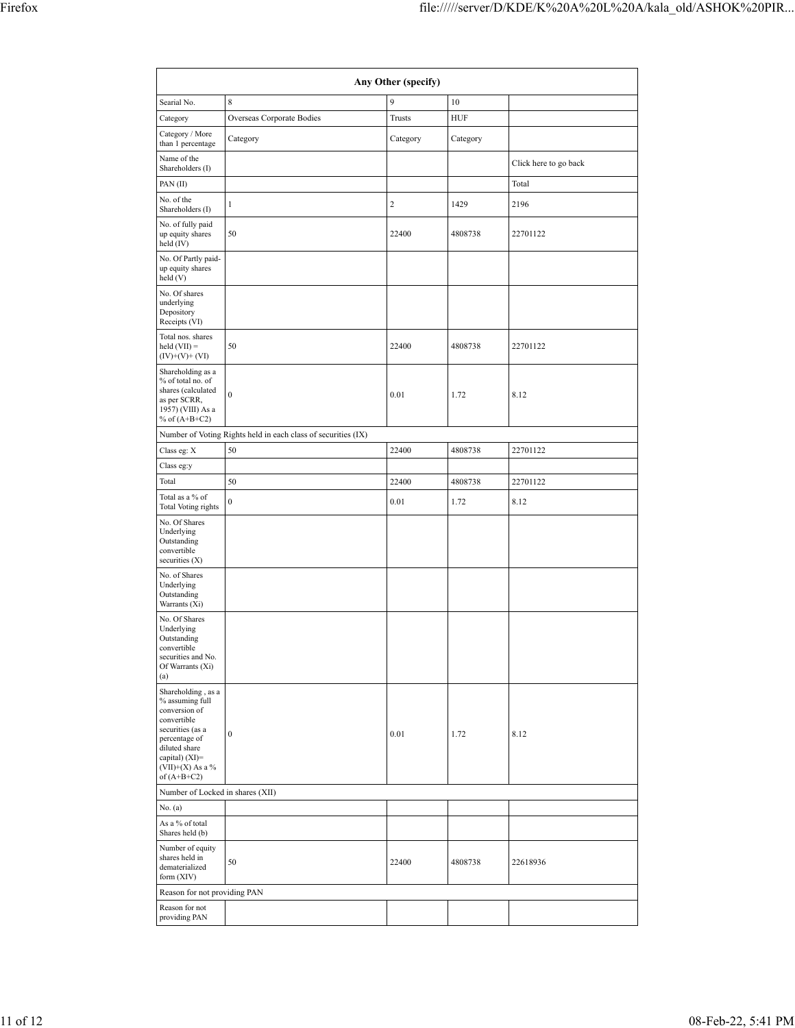| Any Other (specify)                                                                                                                                                                  |                                                               |                         |          |                       |  |  |  |  |  |  |  |  |
|--------------------------------------------------------------------------------------------------------------------------------------------------------------------------------------|---------------------------------------------------------------|-------------------------|----------|-----------------------|--|--|--|--|--|--|--|--|
| Searial No.                                                                                                                                                                          | 8                                                             | 9                       | 10       |                       |  |  |  |  |  |  |  |  |
| Category                                                                                                                                                                             | Overseas Corporate Bodies                                     | Trusts                  | HUF      |                       |  |  |  |  |  |  |  |  |
| Category / More<br>than 1 percentage                                                                                                                                                 | Category                                                      | Category                | Category |                       |  |  |  |  |  |  |  |  |
| Name of the<br>Shareholders (I)                                                                                                                                                      |                                                               |                         |          | Click here to go back |  |  |  |  |  |  |  |  |
| PAN(II)                                                                                                                                                                              |                                                               |                         |          | Total                 |  |  |  |  |  |  |  |  |
| No. of the<br>Shareholders (I)                                                                                                                                                       | $\mathbf{1}$                                                  | $\overline{\mathbf{c}}$ | 1429     | 2196                  |  |  |  |  |  |  |  |  |
| No. of fully paid<br>up equity shares<br>held (IV)                                                                                                                                   | 50                                                            | 22400                   | 4808738  | 22701122              |  |  |  |  |  |  |  |  |
| No. Of Partly paid-<br>up equity shares<br>held (V)                                                                                                                                  |                                                               |                         |          |                       |  |  |  |  |  |  |  |  |
| No. Of shares<br>underlying<br>Depository<br>Receipts (VI)                                                                                                                           |                                                               |                         |          |                       |  |  |  |  |  |  |  |  |
| Total nos. shares<br>$held (VII) =$<br>$(IV)+(V)+(VI)$                                                                                                                               | 50                                                            | 22400                   | 4808738  | 22701122              |  |  |  |  |  |  |  |  |
| Shareholding as a<br>% of total no. of<br>shares (calculated<br>as per SCRR,<br>1957) (VIII) As a<br>% of $(A+B+C2)$                                                                 | $\mathbf{0}$                                                  | 0.01                    | 1.72     | 8.12                  |  |  |  |  |  |  |  |  |
|                                                                                                                                                                                      | Number of Voting Rights held in each class of securities (IX) |                         |          |                       |  |  |  |  |  |  |  |  |
| Class eg: X<br>Class eg:y                                                                                                                                                            | 50                                                            | 22400                   | 4808738  | 22701122              |  |  |  |  |  |  |  |  |
| Total                                                                                                                                                                                | 50                                                            | 22400                   | 4808738  | 22701122              |  |  |  |  |  |  |  |  |
| Total as a % of<br>Total Voting rights                                                                                                                                               | $\boldsymbol{0}$                                              | 0.01                    | 1.72     | 8.12                  |  |  |  |  |  |  |  |  |
| No. Of Shares<br>Underlying<br>Outstanding<br>convertible<br>securities $(X)$                                                                                                        |                                                               |                         |          |                       |  |  |  |  |  |  |  |  |
| No. of Shares<br>Underlying<br>Outstanding<br>Warrants (Xi)                                                                                                                          |                                                               |                         |          |                       |  |  |  |  |  |  |  |  |
| No. Of Shares<br>Underlying<br>Outstanding<br>onvertible:<br>securities and No.<br>Of Warrants (Xi)<br>(a)                                                                           |                                                               |                         |          |                       |  |  |  |  |  |  |  |  |
| Shareholding, as a<br>% assuming full<br>conversion of<br>convertible<br>securities (as a<br>percentage of<br>diluted share<br>capital) (XI)=<br>$(VII)+(X)$ As a %<br>of $(A+B+C2)$ | $\boldsymbol{0}$                                              | 0.01                    | 1.72     | 8.12                  |  |  |  |  |  |  |  |  |
| Number of Locked in shares (XII)                                                                                                                                                     |                                                               |                         |          |                       |  |  |  |  |  |  |  |  |
| No. (a)<br>As a % of total                                                                                                                                                           |                                                               |                         |          |                       |  |  |  |  |  |  |  |  |
| Shares held (b)<br>Number of equity<br>shares held in<br>dematerialized<br>form (XIV)                                                                                                | 50                                                            | 22400                   | 4808738  | 22618936              |  |  |  |  |  |  |  |  |
| Reason for not providing PAN                                                                                                                                                         |                                                               |                         |          |                       |  |  |  |  |  |  |  |  |
| Reason for not<br>providing PAN                                                                                                                                                      |                                                               |                         |          |                       |  |  |  |  |  |  |  |  |
|                                                                                                                                                                                      |                                                               |                         |          |                       |  |  |  |  |  |  |  |  |